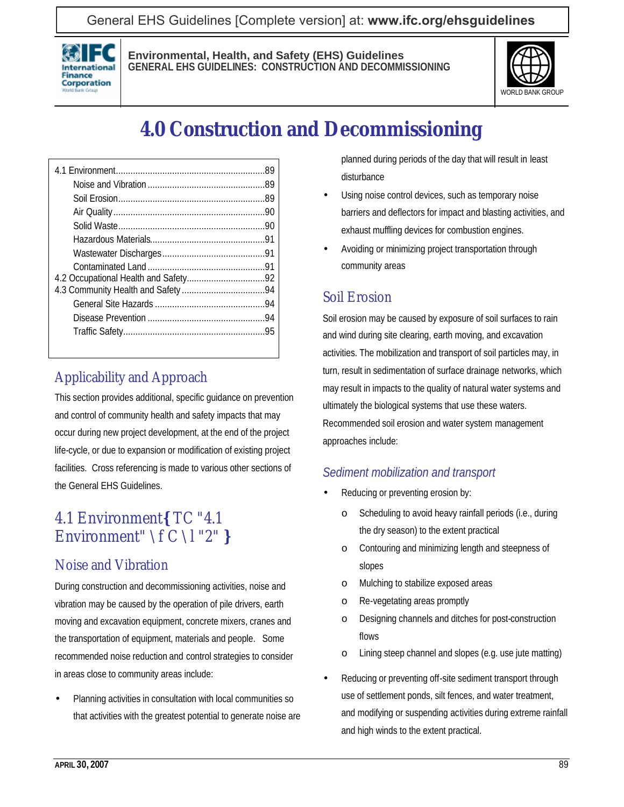### General EHS Guidelines [Complete version] at: **[www.ifc.org/ehsguidelines](http://www.ifc.org/ehsguidelines)**



#### **Environmental, Health, and Safety (EHS) Guidelines GENERAL EHS GUIDELINES: CONSTRUCTION AND DECOMMISSIONING**



# **4.0 Construction and Decommissioning**

### Applicability and Approach

This section provides additional, specific guidance on prevention and control of community health and safety impacts that may occur during new project development, at the end of the project life-cycle, or due to expansion or modification of existing project facilities. Cross referencing is made to various other sections of the General EHS Guidelines.

### 4.1 Environment**{** TC "4.1 Environment" \f C \l "2" **}**

### Noise and Vibration

During construction and decommissioning activities, noise and vibration may be caused by the operation of pile drivers, earth moving and excavation equipment, concrete mixers, cranes and the transportation of equipment, materials and people. Some recommended noise reduction and control strategies to consider in areas close to community areas include:

• Planning activities in consultation with local communities so that activities with the greatest potential to generate noise are planned during periods of the day that will result in least disturbance

- Using noise control devices, such as temporary noise barriers and deflectors for impact and blasting activities, and exhaust muffling devices for combustion engines.
- Avoiding or minimizing project transportation through community areas

#### Soil Erosion

Soil erosion may be caused by exposure of soil surfaces to rain and wind during site clearing, earth moving, and excavation activities. The mobilization and transport of soil particles may, in turn, result in sedimentation of surface drainage networks, which may result in impacts to the quality of natural water systems and ultimately the biological systems that use these waters. Recommended soil erosion and water system management approaches include:

#### *Sediment mobilization and transport*

- Reducing or preventing erosion by:
	- Scheduling to avoid heavy rainfall periods (i.e., during the dry season) to the extent practical
	- o Contouring and minimizing length and steepness of slopes
	- o Mulching to stabilize exposed areas
	- o Re-vegetating areas promptly
	- o Designing channels and ditches for post-construction flows
	- o Lining steep channel and slopes (e.g. use jute matting)
- Reducing or preventing off-site sediment transport through use of settlement ponds, silt fences, and water treatment, and modifying or suspending activities during extreme rainfall and high winds to the extent practical.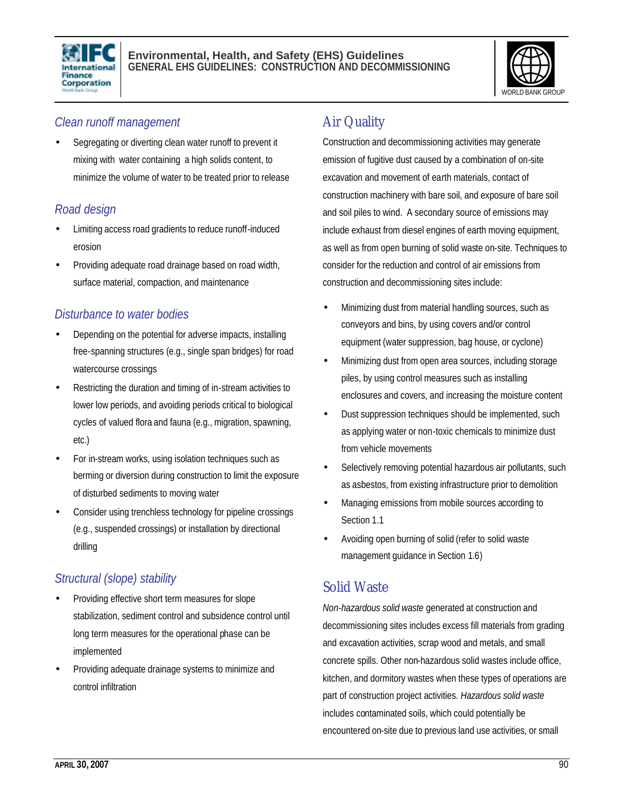



#### *Clean runoff management*

• Segregating or diverting clean water runoff to prevent it mixing with water containing a high solids content, to minimize the volume of water to be treated prior to release

### *Road design*

- Limiting access road gradients to reduce runoff-induced erosion
- Providing adequate road drainage based on road width, surface material, compaction, and maintenance

### *Disturbance to water bodies*

- Depending on the potential for adverse impacts, installing free-spanning structures (e.g., single span bridges) for road watercourse crossings
- Restricting the duration and timing of in-stream activities to lower low periods, and avoiding periods critical to biological cycles of valued flora and fauna (e.g., migration, spawning, etc.)
- For in-stream works, using isolation techniques such as berming or diversion during construction to limit the exposure of disturbed sediments to moving water
- Consider using trenchless technology for pipeline crossings (e.g., suspended crossings) or installation by directional drilling

### *Structural (slope) stability*

- Providing effective short term measures for slope stabilization, sediment control and subsidence control until long term measures for the operational phase can be implemented
- Providing adequate drainage systems to minimize and control infiltration

# Air Quality

Construction and decommissioning activities may generate emission of fugitive dust caused by a combination of on-site excavation and movement of earth materials, contact of construction machinery with bare soil, and exposure of bare soil and soil piles to wind. A secondary source of emissions may include exhaust from diesel engines of earth moving equipment, as well as from open burning of solid waste on-site. Techniques to consider for the reduction and control of air emissions from construction and decommissioning sites include:

- Minimizing dust from material handling sources, such as conveyors and bins, by using covers and/or control equipment (water suppression, bag house, or cyclone)
- Minimizing dust from open area sources, including storage piles, by using control measures such as installing enclosures and covers, and increasing the moisture content
- Dust suppression techniques should be implemented, such as applying water or non-toxic chemicals to minimize dust from vehicle movements
- Selectively removing potential hazardous air pollutants, such as asbestos, from existing infrastructure prior to demolition
- Managing emissions from mobile sources according to Section 1.1
- Avoiding open burning of solid (refer to solid waste management guidance in Section 1.6)

### Solid Waste

*Non-hazardous solid waste* generated at construction and decommissioning sites includes excess fill materials from grading and excavation activities, scrap wood and metals, and small concrete spills. Other non-hazardous solid wastes include office, kitchen, and dormitory wastes when these types of operations are part of construction project activities. *Hazardous solid waste* includes contaminated soils, which could potentially be encountered on-site due to previous land use activities, or small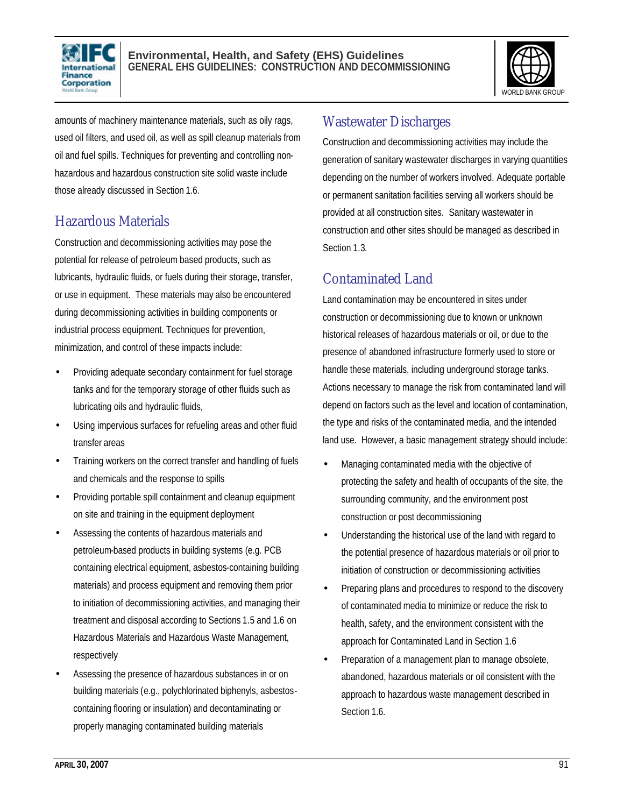



amounts of machinery maintenance materials, such as oily rags, used oil filters, and used oil, as well as spill cleanup materials from oil and fuel spills. Techniques for preventing and controlling nonhazardous and hazardous construction site solid waste include those already discussed in Section 1.6.

### Hazardous Materials

Construction and decommissioning activities may pose the potential for release of petroleum based products, such as lubricants, hydraulic fluids, or fuels during their storage, transfer, or use in equipment. These materials may also be encountered during decommissioning activities in building components or industrial process equipment. Techniques for prevention, minimization, and control of these impacts include:

- Providing adequate secondary containment for fuel storage tanks and for the temporary storage of other fluids such as lubricating oils and hydraulic fluids,
- Using impervious surfaces for refueling areas and other fluid transfer areas
- Training workers on the correct transfer and handling of fuels and chemicals and the response to spills
- Providing portable spill containment and cleanup equipment on site and training in the equipment deployment
- Assessing the contents of hazardous materials and petroleum-based products in building systems (e.g. PCB containing electrical equipment, asbestos-containing building materials) and process equipment and removing them prior to initiation of decommissioning activities, and managing their treatment and disposal according to Sections 1.5 and 1.6 on Hazardous Materials and Hazardous Waste Management, respectively
- Assessing the presence of hazardous substances in or on building materials (e.g., polychlorinated biphenyls, asbestoscontaining flooring or insulation) and decontaminating or properly managing contaminated building materials

### Wastewater Discharges

Construction and decommissioning activities may include the generation of sanitary wastewater discharges in varying quantities depending on the number of workers involved. Adequate portable or permanent sanitation facilities serving all workers should be provided at all construction sites. Sanitary wastewater in construction and other sites should be managed as described in Section 1.3.

### Contaminated Land

Land contamination may be encountered in sites under construction or decommissioning due to known or unknown historical releases of hazardous materials or oil, or due to the presence of abandoned infrastructure formerly used to store or handle these materials, including underground storage tanks. Actions necessary to manage the risk from contaminated land will depend on factors such as the level and location of contamination, the type and risks of the contaminated media, and the intended land use. However, a basic management strategy should include:

- Managing contaminated media with the objective of protecting the safety and health of occupants of the site, the surrounding community, and the environment post construction or post decommissioning
- Understanding the historical use of the land with regard to the potential presence of hazardous materials or oil prior to initiation of construction or decommissioning activities
- Preparing plans and procedures to respond to the discovery of contaminated media to minimize or reduce the risk to health, safety, and the environment consistent with the approach for Contaminated Land in Section 1.6
- Preparation of a management plan to manage obsolete, abandoned, hazardous materials or oil consistent with the approach to hazardous waste management described in Section 1.6.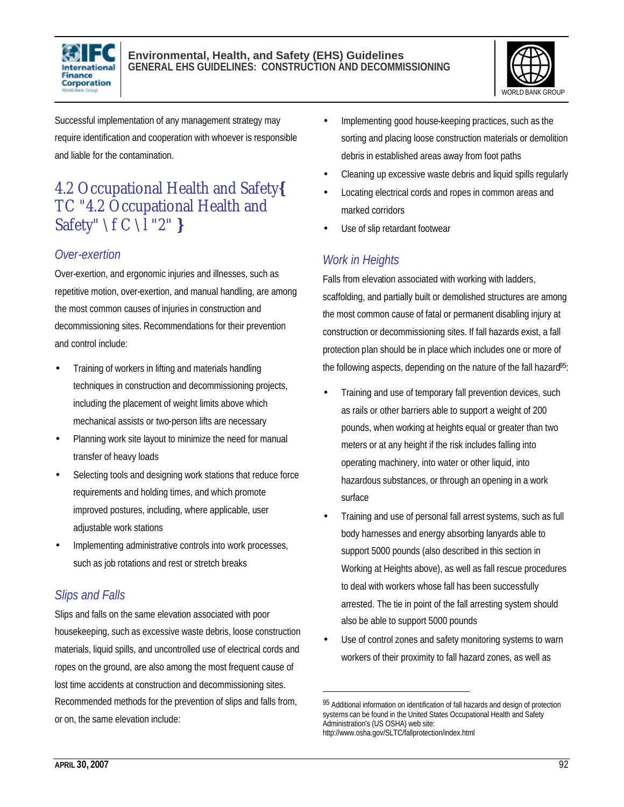



Successful implementation of any management strategy may require identification and cooperation with whoever is responsible and liable for the contamination.

# 4.2 Occupational Health and Safety**{** TC "4.2 Occupational Health and Safety" \f C \l "2" **}**

#### *Over-exertion*

Over-exertion, and ergonomic injuries and illnesses, such as repetitive motion, over-exertion, and manual handling, are among the most common causes of injuries in construction and decommissioning sites. Recommendations for their prevention and control include:

- Training of workers in lifting and materials handling techniques in construction and decommissioning projects, including the placement of weight limits above which mechanical assists or two-person lifts are necessary
- Planning work site layout to minimize the need for manual transfer of heavy loads
- Selecting tools and designing work stations that reduce force requirements and holding times, and which promote improved postures, including, where applicable, user adjustable work stations
- Implementing administrative controls into work processes, such as job rotations and rest or stretch breaks

### *Slips and Falls*

Slips and falls on the same elevation associated with poor housekeeping, such as excessive waste debris, loose construction materials, liquid spills, and uncontrolled use of electrical cords and ropes on the ground, are also among the most frequent cause of lost time accidents at construction and decommissioning sites. Recommended methods for the prevention of slips and falls from, or on, the same elevation include:

- Implementing good house-keeping practices, such as the sorting and placing loose construction materials or demolition debris in established areas away from foot paths
- Cleaning up excessive waste debris and liquid spills regularly
- Locating electrical cords and ropes in common areas and marked corridors
- Use of slip retardant footwear

### *Work in Heights*

l

Falls from elevation associated with working with ladders, scaffolding, and partially built or demolished structures are among the most common cause of fatal or permanent disabling injury at construction or decommissioning sites. If fall hazards exist, a fall protection plan should be in place which includes one or more of the following aspects, depending on the nature of the fall hazard<sup>95</sup>:

- Training and use of temporary fall prevention devices, such as rails or other barriers able to support a weight of 200 pounds, when working at heights equal or greater than two meters or at any height if the risk includes falling into operating machinery, into water or other liquid, into hazardous substances, or through an opening in a work surface
- Training and use of personal fall arrest systems, such as full body harnesses and energy absorbing lanyards able to support 5000 pounds (also described in this section in Working at Heights above), as well as fall rescue procedures to deal with workers whose fall has been successfully arrested. The tie in point of the fall arresting system should also be able to support 5000 pounds
- Use of control zones and safety monitoring systems to warn workers of their proximity to fall hazard zones, as well as

<sup>95</sup> Additional information on identification of fall hazards and design of protection systems can be found in the United States Occupational Health and Safety Administration's (US OSHA) web site: http://www.osha.gov/SLTC/fallprotection/index.html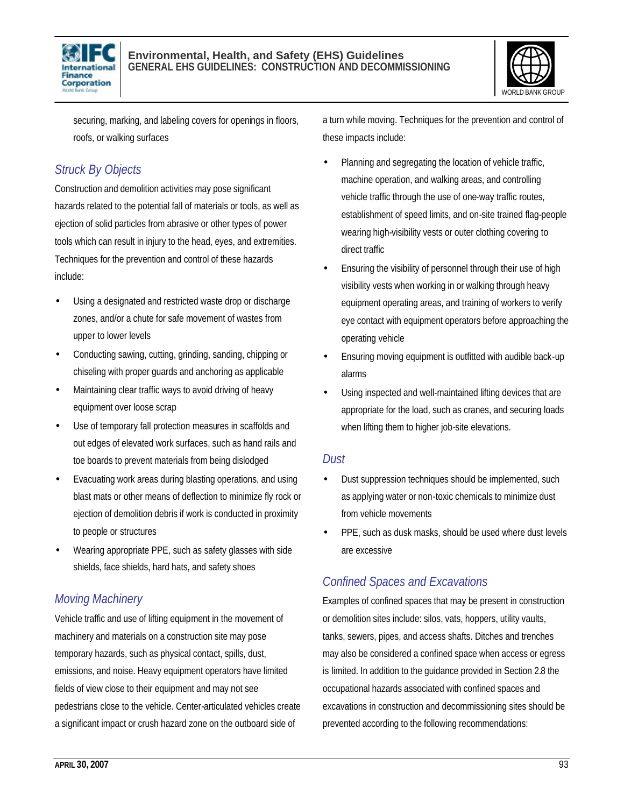



securing, marking, and labeling covers for openings in floors, roofs, or walking surfaces

### *Struck By Objects*

Construction and demolition activities may pose significant hazards related to the potential fall of materials or tools, as well as ejection of solid particles from abrasive or other types of power tools which can result in injury to the head, eyes, and extremities. Techniques for the prevention and control of these hazards include:

- Using a designated and restricted waste drop or discharge zones, and/or a chute for safe movement of wastes from upper to lower levels
- Conducting sawing, cutting, grinding, sanding, chipping or chiseling with proper guards and anchoring as applicable
- Maintaining clear traffic ways to avoid driving of heavy equipment over loose scrap
- Use of temporary fall protection measures in scaffolds and out edges of elevated work surfaces, such as hand rails and toe boards to prevent materials from being dislodged
- Evacuating work areas during blasting operations, and using blast mats or other means of deflection to minimize fly rock or ejection of demolition debris if work is conducted in proximity to people or structures
- Wearing appropriate PPE, such as safety glasses with side shields, face shields, hard hats, and safety shoes

#### *Moving Machinery*

Vehicle traffic and use of lifting equipment in the movement of machinery and materials on a construction site may pose temporary hazards, such as physical contact, spills, dust, emissions, and noise. Heavy equipment operators have limited fields of view close to their equipment and may not see pedestrians close to the vehicle. Center-articulated vehicles create a significant impact or crush hazard zone on the outboard side of

a turn while moving. Techniques for the prevention and control of these impacts include:

- Planning and segregating the location of vehicle traffic, machine operation, and walking areas, and controlling vehicle traffic through the use of one-way traffic routes, establishment of speed limits, and on-site trained flag-people wearing high-visibility vests or outer clothing covering to direct traffic
- Ensuring the visibility of personnel through their use of high visibility vests when working in or walking through heavy equipment operating areas, and training of workers to verify eye contact with equipment operators before approaching the operating vehicle
- Ensuring moving equipment is outfitted with audible back-up alarms
- Using inspected and well-maintained lifting devices that are appropriate for the load, such as cranes, and securing loads when lifting them to higher job-site elevations.

#### *Dust*

- Dust suppression techniques should be implemented, such as applying water or non-toxic chemicals to minimize dust from vehicle movements
- PPE, such as dusk masks, should be used where dust levels are excessive

#### *Confined Spaces and Excavations*

Examples of confined spaces that may be present in construction or demolition sites include: silos, vats, hoppers, utility vaults, tanks, sewers, pipes, and access shafts. Ditches and trenches may also be considered a confined space when access or egress is limited. In addition to the guidance provided in Section 2.8 the occupational hazards associated with confined spaces and excavations in construction and decommissioning sites should be prevented according to the following recommendations: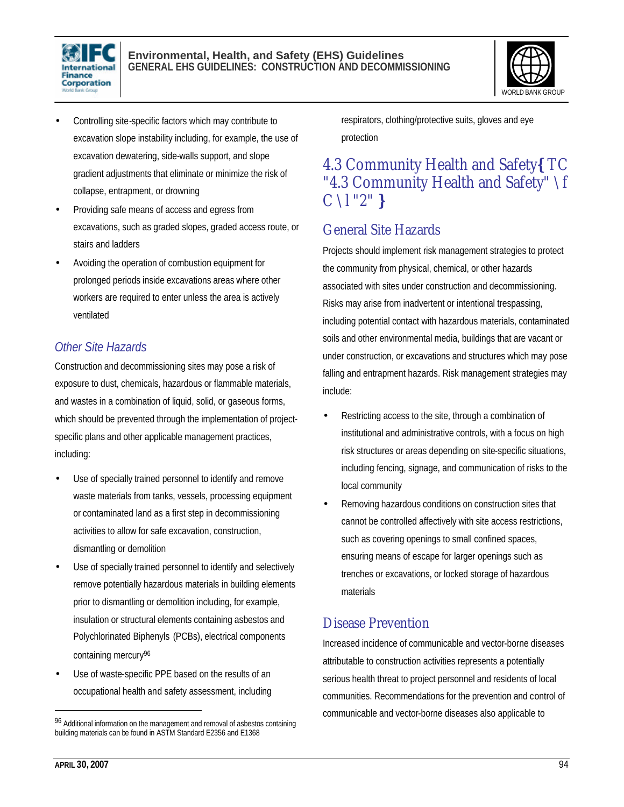

#### **Environmental, Health, and Safety (EHS) Guidelines GENERAL EHS GUIDELINES: CONSTRUCTION AND DECOMMISSIONING**



- Controlling site-specific factors which may contribute to excavation slope instability including, for example, the use of excavation dewatering, side-walls support, and slope gradient adjustments that eliminate or minimize the risk of collapse, entrapment, or drowning
- Providing safe means of access and egress from excavations, such as graded slopes, graded access route, or stairs and ladders
- Avoiding the operation of combustion equipment for prolonged periods inside excavations areas where other workers are required to enter unless the area is actively ventilated

#### *Other Site Hazards*

Construction and decommissioning sites may pose a risk of exposure to dust, chemicals, hazardous or flammable materials, and wastes in a combination of liquid, solid, or gaseous forms, which should be prevented through the implementation of projectspecific plans and other applicable management practices, including:

- Use of specially trained personnel to identify and remove waste materials from tanks, vessels, processing equipment or contaminated land as a first step in decommissioning activities to allow for safe excavation, construction, dismantling or demolition
- Use of specially trained personnel to identify and selectively remove potentially hazardous materials in building elements prior to dismantling or demolition including, for example, insulation or structural elements containing asbestos and Polychlorinated Biphenyls (PCBs), electrical components containing mercury<sup>96</sup>
- Use of waste-specific PPE based on the results of an occupational health and safety assessment, including

respirators, clothing/protective suits, gloves and eye protection

### 4.3 Community Health and Safety**{** TC "4.3 Community Health and Safety" \f C \l "2" **}**

### General Site Hazards

Projects should implement risk management strategies to protect the community from physical, chemical, or other hazards associated with sites under construction and decommissioning. Risks may arise from inadvertent or intentional trespassing, including potential contact with hazardous materials, contaminated soils and other environmental media, buildings that are vacant or under construction, or excavations and structures which may pose falling and entrapment hazards. Risk management strategies may include:

- Restricting access to the site, through a combination of institutional and administrative controls, with a focus on high risk structures or areas depending on site-specific situations, including fencing, signage, and communication of risks to the local community
- Removing hazardous conditions on construction sites that cannot be controlled affectively with site access restrictions, such as covering openings to small confined spaces, ensuring means of escape for larger openings such as trenches or excavations, or locked storage of hazardous materials

### Disease Prevention

Increased incidence of communicable and vector-borne diseases attributable to construction activities represents a potentially serious health threat to project personnel and residents of local communities. Recommendations for the prevention and control of communicable and vector-borne diseases also applicable to

 $\overline{a}$ 

<sup>96</sup> Additional information on the management and removal of asbestos containing building materials can be found in ASTM Standard E2356 and E1368